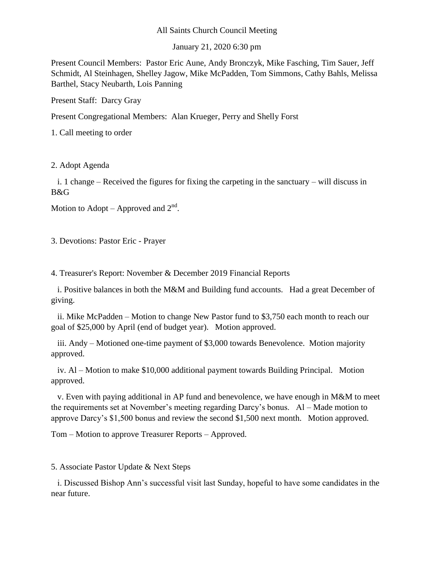## All Saints Church Council Meeting

January 21, 2020 6:30 pm

Present Council Members: Pastor Eric Aune, Andy Bronczyk, Mike Fasching, Tim Sauer, Jeff Schmidt, Al Steinhagen, Shelley Jagow, Mike McPadden, Tom Simmons, Cathy Bahls, Melissa Barthel, Stacy Neubarth, Lois Panning

Present Staff: Darcy Gray

Present Congregational Members: Alan Krueger, Perry and Shelly Forst

1. Call meeting to order

2. Adopt Agenda

 i. 1 change – Received the figures for fixing the carpeting in the sanctuary – will discuss in B&G

Motion to Adopt – Approved and  $2<sup>nd</sup>$ .

3. Devotions: Pastor Eric - Prayer

4. Treasurer's Report: November & December 2019 Financial Reports

 i. Positive balances in both the M&M and Building fund accounts. Had a great December of giving.

 ii. Mike McPadden – Motion to change New Pastor fund to \$3,750 each month to reach our goal of \$25,000 by April (end of budget year). Motion approved.

 iii. Andy – Motioned one-time payment of \$3,000 towards Benevolence. Motion majority approved.

 iv. Al – Motion to make \$10,000 additional payment towards Building Principal. Motion approved.

 v. Even with paying additional in AP fund and benevolence, we have enough in M&M to meet the requirements set at November's meeting regarding Darcy's bonus. Al – Made motion to approve Darcy's \$1,500 bonus and review the second \$1,500 next month. Motion approved.

Tom – Motion to approve Treasurer Reports – Approved.

5. Associate Pastor Update & Next Steps

 i. Discussed Bishop Ann's successful visit last Sunday, hopeful to have some candidates in the near future.